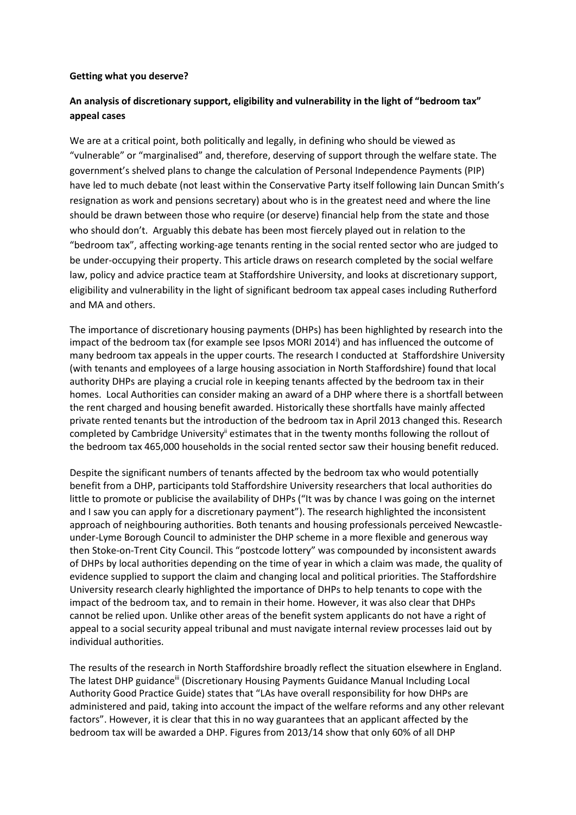## **Getting what you deserve?**

## **An analysis of discretionary support, eligibility and vulnerability in the light of "bedroom tax" appeal cases**

We are at a critical point, both politically and legally, in defining who should be viewed as "vulnerable" or "marginalised" and, therefore, deserving of support through the welfare state. The government's shelved plans to change the calculation of Personal Independence Payments (PIP) have led to much debate (not least within the Conservative Party itself following Iain Duncan Smith's resignation as work and pensions secretary) about who is in the greatest need and where the line should be drawn between those who require (or deserve) financial help from the state and those who should don't. Arguably this debate has been most fiercely played out in relation to the "bedroom tax", affecting working-age tenants renting in the social rented sector who are judged to be under-occupying their property. This article draws on research completed by the social welfare law, policy and advice practice team at Staffordshire University, and looks at discretionary support, eligibility and vulnerability in the light of significant bedroom tax appeal cases including Rutherford and MA and others.

The importance of discretionary housing payments (DHPs) has been highlighted by research into the impact of the bedroom tax (for example see Ipsos MORI 2014<sup>i</sup>) and has influenced the outcome of many bedroom tax appeals in the upper courts. The research I conducted at Staffordshire University (with tenants and employees of a large housing association in North Staffordshire) found that local authority DHPs are playing a crucial role in keeping tenants affected by the bedroom tax in their homes. Local Authorities can consider making an award of a DHP where there is a shortfall between the rent charged and housing benefit awarded. Historically these shortfalls have mainly affected private rented tenants but the introduction of the bedroom tax in April 2013 changed this. Research completed by Cambridge University<sup>ii</sup> estimates that in the twenty months following the rollout of the bedroom tax 465,000 households in the social rented sector saw their housing benefit reduced.

Despite the significant numbers of tenants affected by the bedroom tax who would potentially benefit from a DHP, participants told Staffordshire University researchers that local authorities do little to promote or publicise the availability of DHPs ("It was by chance I was going on the internet and I saw you can apply for a discretionary payment"). The research highlighted the inconsistent approach of neighbouring authorities. Both tenants and housing professionals perceived Newcastleunder-Lyme Borough Council to administer the DHP scheme in a more flexible and generous way then Stoke-on-Trent City Council. This "postcode lottery" was compounded by inconsistent awards of DHPs by local authorities depending on the time of year in which a claim was made, the quality of evidence supplied to support the claim and changing local and political priorities. The Staffordshire University research clearly highlighted the importance of DHPs to help tenants to cope with the impact of the bedroom tax, and to remain in their home. However, it was also clear that DHPs cannot be relied upon. Unlike other areas of the benefit system applicants do not have a right of appeal to a social security appeal tribunal and must navigate internal review processes laid out by individual authorities.

The results of the research in North Staffordshire broadly reflect the situation elsewhere in England. The latest DHP guidance<sup>iii</sup> (Discretionary Housing Payments Guidance Manual Including Local Authority Good Practice Guide) states that "LAs have overall responsibility for how DHPs are administered and paid, taking into account the impact of the welfare reforms and any other relevant factors". However, it is clear that this in no way guarantees that an applicant affected by the bedroom tax will be awarded a DHP. Figures from 2013/14 show that only 60% of all DHP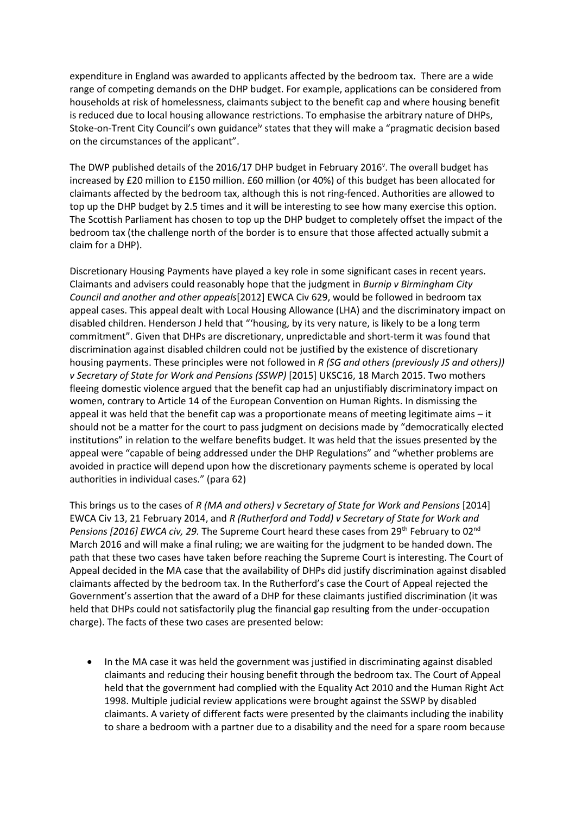expenditure in England was awarded to applicants affected by the bedroom tax. There are a wide range of competing demands on the DHP budget. For example, applications can be considered from households at risk of homelessness, claimants subject to the benefit cap and where housing benefit is reduced due to local housing allowance restrictions. To emphasise the arbitrary nature of DHPs, Stoke-on-Trent City Council's own guidance<sup>iv</sup> states that they will make a "pragmatic decision based on the circumstances of the applicant".

The DWP published details of the 2016/17 DHP budget in February 2016<sup>v</sup>. The overall budget has increased by £20 million to £150 million. £60 million (or 40%) of this budget has been allocated for claimants affected by the bedroom tax, although this is not ring-fenced. Authorities are allowed to top up the DHP budget by 2.5 times and it will be interesting to see how many exercise this option. The Scottish Parliament has chosen to top up the DHP budget to completely offset the impact of the bedroom tax (the challenge north of the border is to ensure that those affected actually submit a claim for a DHP).

Discretionary Housing Payments have played a key role in some significant cases in recent years. Claimants and advisers could reasonably hope that the judgment in *Burnip v Birmingham City Council and another and other appeals*[2012] EWCA Civ 629, would be followed in bedroom tax appeal cases. This appeal dealt with Local Housing Allowance (LHA) and the discriminatory impact on disabled children. Henderson J held that "'housing, by its very nature, is likely to be a long term commitment". Given that DHPs are discretionary, unpredictable and short-term it was found that discrimination against disabled children could not be justified by the existence of discretionary housing payments. These principles were not followed in *R (SG and others (previously JS and others)) v Secretary of State for Work and Pensions (SSWP)* [2015] UKSC16, 18 March 2015. Two mothers fleeing domestic violence argued that the benefit cap had an unjustifiably discriminatory impact on women, contrary to Article 14 of the European Convention on Human Rights. In dismissing the appeal it was held that the benefit cap was a proportionate means of meeting legitimate aims – it should not be a matter for the court to pass judgment on decisions made by "democratically elected institutions" in relation to the welfare benefits budget. It was held that the issues presented by the appeal were "capable of being addressed under the DHP Regulations" and "whether problems are avoided in practice will depend upon how the discretionary payments scheme is operated by local authorities in individual cases." (para 62)

This brings us to the cases of *R (MA and others) v Secretary of State for Work and Pensions* [2014] EWCA Civ 13, 21 February 2014, and *R (Rutherford and Todd) v Secretary of State for Work and Pensions [2016] EWCA civ, 29.* The Supreme Court heard these cases from 29<sup>th</sup> February to 02<sup>nd</sup> March 2016 and will make a final ruling; we are waiting for the judgment to be handed down. The path that these two cases have taken before reaching the Supreme Court is interesting. The Court of Appeal decided in the MA case that the availability of DHPs did justify discrimination against disabled claimants affected by the bedroom tax. In the Rutherford's case the Court of Appeal rejected the Government's assertion that the award of a DHP for these claimants justified discrimination (it was held that DHPs could not satisfactorily plug the financial gap resulting from the under-occupation charge). The facts of these two cases are presented below:

 In the MA case it was held the government was justified in discriminating against disabled claimants and reducing their housing benefit through the bedroom tax. The Court of Appeal held that the government had complied with the Equality Act 2010 and the Human Right Act 1998. Multiple judicial review applications were brought against the SSWP by disabled claimants. A variety of different facts were presented by the claimants including the inability to share a bedroom with a partner due to a disability and the need for a spare room because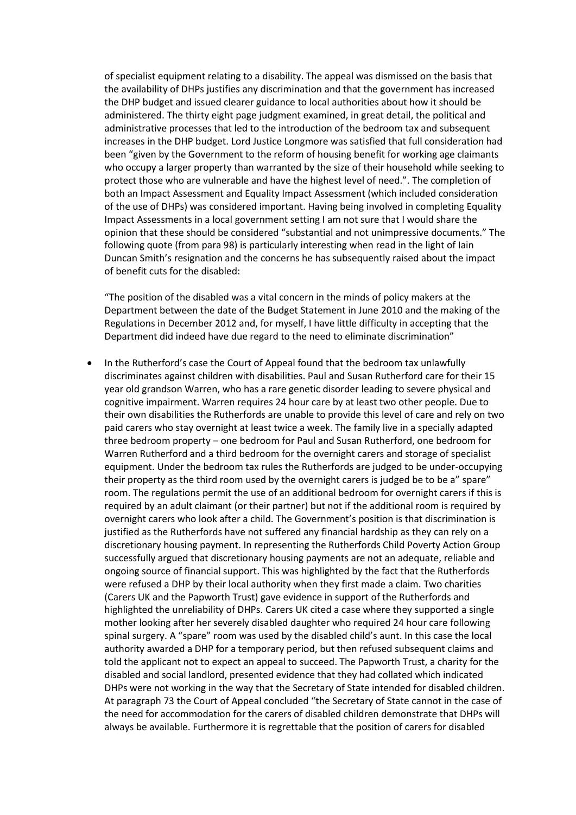of specialist equipment relating to a disability. The appeal was dismissed on the basis that the availability of DHPs justifies any discrimination and that the government has increased the DHP budget and issued clearer guidance to local authorities about how it should be administered. The thirty eight page judgment examined, in great detail, the political and administrative processes that led to the introduction of the bedroom tax and subsequent increases in the DHP budget. Lord Justice Longmore was satisfied that full consideration had been "given by the Government to the reform of housing benefit for working age claimants who occupy a larger property than warranted by the size of their household while seeking to protect those who are vulnerable and have the highest level of need.". The completion of both an Impact Assessment and Equality Impact Assessment (which included consideration of the use of DHPs) was considered important. Having being involved in completing Equality Impact Assessments in a local government setting I am not sure that I would share the opinion that these should be considered "substantial and not unimpressive documents." The following quote (from para 98) is particularly interesting when read in the light of Iain Duncan Smith's resignation and the concerns he has subsequently raised about the impact of benefit cuts for the disabled:

"The position of the disabled was a vital concern in the minds of policy makers at the Department between the date of the Budget Statement in June 2010 and the making of the Regulations in December 2012 and, for myself, I have little difficulty in accepting that the Department did indeed have due regard to the need to eliminate discrimination"

• In the Rutherford's case the Court of Appeal found that the bedroom tax unlawfully discriminates against children with disabilities. Paul and Susan Rutherford care for their 15 year old grandson Warren, who has a rare genetic disorder leading to severe physical and cognitive impairment. Warren requires 24 hour care by at least two other people. Due to their own disabilities the Rutherfords are unable to provide this level of care and rely on two paid carers who stay overnight at least twice a week. The family live in a specially adapted three bedroom property – one bedroom for Paul and Susan Rutherford, one bedroom for Warren Rutherford and a third bedroom for the overnight carers and storage of specialist equipment. Under the bedroom tax rules the Rutherfords are judged to be under-occupying their property as the third room used by the overnight carers is judged be to be a" spare" room. The regulations permit the use of an additional bedroom for overnight carers if this is required by an adult claimant (or their partner) but not if the additional room is required by overnight carers who look after a child. The Government's position is that discrimination is justified as the Rutherfords have not suffered any financial hardship as they can rely on a discretionary housing payment. In representing the Rutherfords Child Poverty Action Group successfully argued that discretionary housing payments are not an adequate, reliable and ongoing source of financial support. This was highlighted by the fact that the Rutherfords were refused a DHP by their local authority when they first made a claim. Two charities (Carers UK and the Papworth Trust) gave evidence in support of the Rutherfords and highlighted the unreliability of DHPs. Carers UK cited a case where they supported a single mother looking after her severely disabled daughter who required 24 hour care following spinal surgery. A "spare" room was used by the disabled child's aunt. In this case the local authority awarded a DHP for a temporary period, but then refused subsequent claims and told the applicant not to expect an appeal to succeed. The Papworth Trust, a charity for the disabled and social landlord, presented evidence that they had collated which indicated DHPs were not working in the way that the Secretary of State intended for disabled children. At paragraph 73 the Court of Appeal concluded "the Secretary of State cannot in the case of the need for accommodation for the carers of disabled children demonstrate that DHPs will always be available. Furthermore it is regrettable that the position of carers for disabled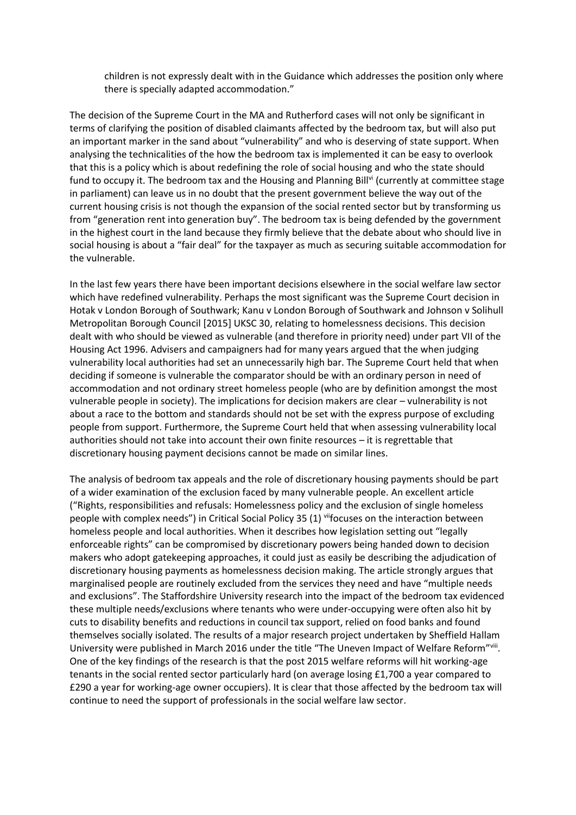children is not expressly dealt with in the Guidance which addresses the position only where there is specially adapted accommodation."

The decision of the Supreme Court in the MA and Rutherford cases will not only be significant in terms of clarifying the position of disabled claimants affected by the bedroom tax, but will also put an important marker in the sand about "vulnerability" and who is deserving of state support. When analysing the technicalities of the how the bedroom tax is implemented it can be easy to overlook that this is a policy which is about redefining the role of social housing and who the state should fund to occupy it. The bedroom tax and the Housing and Planning Bill<sup>vi</sup> (currently at committee stage in parliament) can leave us in no doubt that the present government believe the way out of the current housing crisis is not though the expansion of the social rented sector but by transforming us from "generation rent into generation buy". The bedroom tax is being defended by the government in the highest court in the land because they firmly believe that the debate about who should live in social housing is about a "fair deal" for the taxpayer as much as securing suitable accommodation for the vulnerable.

In the last few years there have been important decisions elsewhere in the social welfare law sector which have redefined vulnerability. Perhaps the most significant was the Supreme Court decision in Hotak v London Borough of Southwark; Kanu v London Borough of Southwark and Johnson v Solihull Metropolitan Borough Council [2015] UKSC 30, relating to homelessness decisions. This decision dealt with who should be viewed as vulnerable (and therefore in priority need) under part VII of the Housing Act 1996. Advisers and campaigners had for many years argued that the when judging vulnerability local authorities had set an unnecessarily high bar. The Supreme Court held that when deciding if someone is vulnerable the comparator should be with an ordinary person in need of accommodation and not ordinary street homeless people (who are by definition amongst the most vulnerable people in society). The implications for decision makers are clear – vulnerability is not about a race to the bottom and standards should not be set with the express purpose of excluding people from support. Furthermore, the Supreme Court held that when assessing vulnerability local authorities should not take into account their own finite resources – it is regrettable that discretionary housing payment decisions cannot be made on similar lines.

The analysis of bedroom tax appeals and the role of discretionary housing payments should be part of a wider examination of the exclusion faced by many vulnerable people. An excellent article ("Rights, responsibilities and refusals: Homelessness policy and the exclusion of single homeless people with complex needs") in Critical Social Policy 35 (1) viifocuses on the interaction between homeless people and local authorities. When it describes how legislation setting out "legally enforceable rights" can be compromised by discretionary powers being handed down to decision makers who adopt gatekeeping approaches, it could just as easily be describing the adjudication of discretionary housing payments as homelessness decision making. The article strongly argues that marginalised people are routinely excluded from the services they need and have "multiple needs and exclusions". The Staffordshire University research into the impact of the bedroom tax evidenced these multiple needs/exclusions where tenants who were under-occupying were often also hit by cuts to disability benefits and reductions in council tax support, relied on food banks and found themselves socially isolated. The results of a major research project undertaken by Sheffield Hallam University were published in March 2016 under the title "The Uneven Impact of Welfare Reform"vill. One of the key findings of the research is that the post 2015 welfare reforms will hit working-age tenants in the social rented sector particularly hard (on average losing £1,700 a year compared to £290 a year for working-age owner occupiers). It is clear that those affected by the bedroom tax will continue to need the support of professionals in the social welfare law sector.